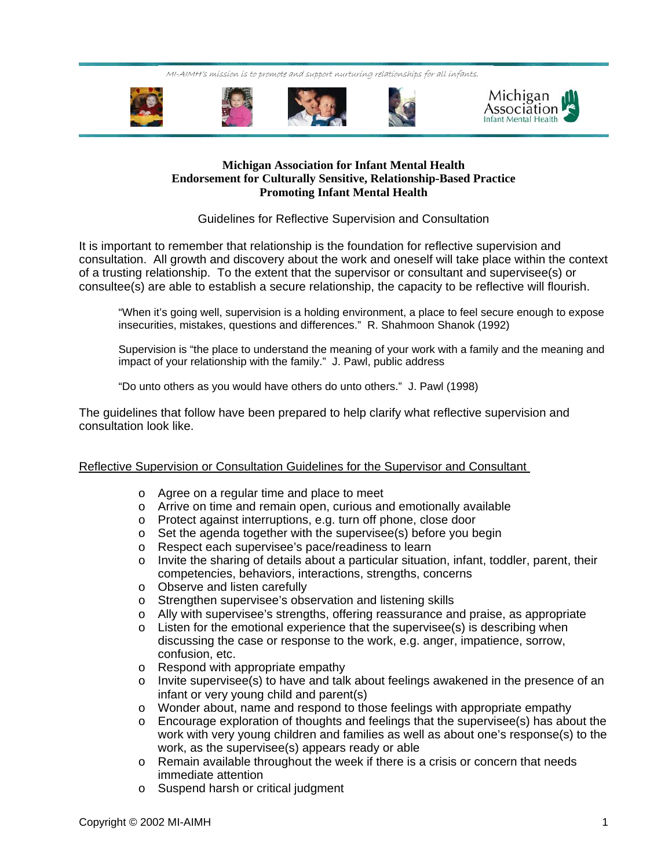MI-AIMH's mission is to promote and support nurturing relationships for all infants.





## **Michigan Association for Infant Mental Health Endorsement for Culturally Sensitive, Relationship-Based Practice Promoting Infant Mental Health**

## Guidelines for Reflective Supervision and Consultation

It is important to remember that relationship is the foundation for reflective supervision and consultation. All growth and discovery about the work and oneself will take place within the context of a trusting relationship. To the extent that the supervisor or consultant and supervisee(s) or consultee(s) are able to establish a secure relationship, the capacity to be reflective will flourish.

"When it's going well, supervision is a holding environment, a place to feel secure enough to expose insecurities, mistakes, questions and differences." R. Shahmoon Shanok (1992)

Supervision is "the place to understand the meaning of your work with a family and the meaning and impact of your relationship with the family." J. Pawl, public address

"Do unto others as you would have others do unto others." J. Pawl (1998)

The guidelines that follow have been prepared to help clarify what reflective supervision and consultation look like.

## Reflective Supervision or Consultation Guidelines for the Supervisor and Consultant

- o Agree on a regular time and place to meet
- o Arrive on time and remain open, curious and emotionally available
- o Protect against interruptions, e.g. turn off phone, close door
- o Set the agenda together with the supervisee(s) before you begin
- o Respect each supervisee's pace/readiness to learn
- $\circ$  Invite the sharing of details about a particular situation, infant, toddler, parent, their competencies, behaviors, interactions, strengths, concerns
- o Observe and listen carefully
- o Strengthen supervisee's observation and listening skills
- o Ally with supervisee's strengths, offering reassurance and praise, as appropriate
- $\circ$  Listen for the emotional experience that the supervisee(s) is describing when discussing the case or response to the work, e.g. anger, impatience, sorrow, confusion, etc.
- o Respond with appropriate empathy
- $\circ$  Invite supervisee(s) to have and talk about feelings awakened in the presence of an infant or very young child and parent(s)
- o Wonder about, name and respond to those feelings with appropriate empathy
- $\circ$  Encourage exploration of thoughts and feelings that the supervisee(s) has about the work with very young children and families as well as about one's response(s) to the work, as the supervisee(s) appears ready or able
- o Remain available throughout the week if there is a crisis or concern that needs immediate attention
- o Suspend harsh or critical judgment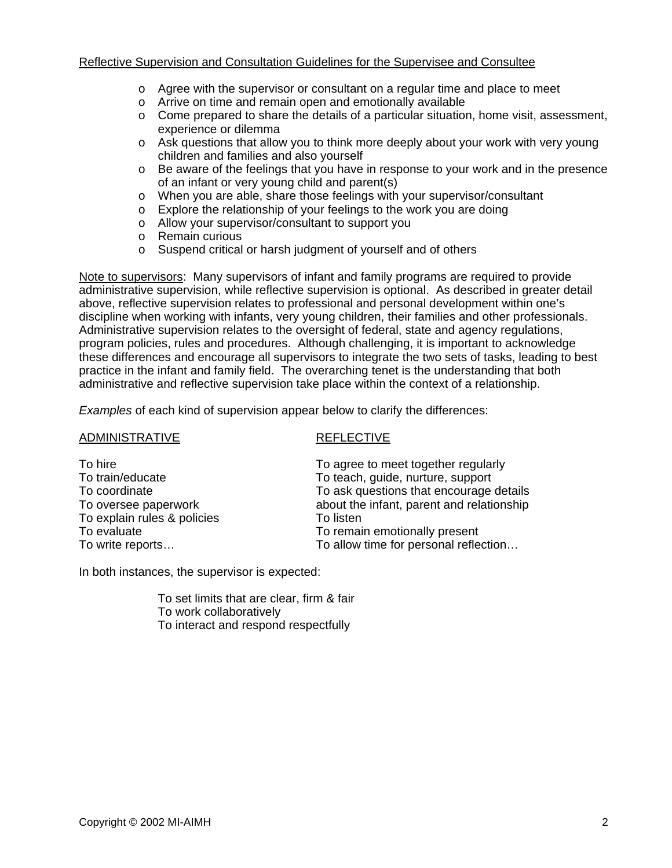- $\circ$  Agree with the supervisor or consultant on a regular time and place to meet
- o Arrive on time and remain open and emotionally available
- $\circ$  Come prepared to share the details of a particular situation, home visit, assessment, experience or dilemma
- o Ask questions that allow you to think more deeply about your work with very young children and families and also yourself
- o Be aware of the feelings that you have in response to your work and in the presence of an infant or very young child and parent(s)
- o When you are able, share those feelings with your supervisor/consultant
- o Explore the relationship of your feelings to the work you are doing
- o Allow your supervisor/consultant to support you
- o Remain curious
- o Suspend critical or harsh judgment of yourself and of others

Note to supervisors: Many supervisors of infant and family programs are required to provide administrative supervision, while reflective supervision is optional. As described in greater detail above, reflective supervision relates to professional and personal development within one's discipline when working with infants, very young children, their families and other professionals. Administrative supervision relates to the oversight of federal, state and agency regulations, program policies, rules and procedures. Although challenging, it is important to acknowledge these differences and encourage all supervisors to integrate the two sets of tasks, leading to best practice in the infant and family field. The overarching tenet is the understanding that both administrative and reflective supervision take place within the context of a relationship.

*Examples* of each kind of supervision appear below to clarify the differences:

| <b>ADMINISTRATIVE</b>                                                                                                                  | <b>REFLECTIVE</b>                                                                                                                                                                                                                                       |
|----------------------------------------------------------------------------------------------------------------------------------------|---------------------------------------------------------------------------------------------------------------------------------------------------------------------------------------------------------------------------------------------------------|
| To hire<br>To train/educate<br>To coordinate<br>To oversee paperwork<br>To explain rules & policies<br>To evaluate<br>To write reports | To agree to meet together regularly<br>To teach, guide, nurture, support<br>To ask questions that encourage details<br>about the infant, parent and relationship<br>To listen<br>To remain emotionally present<br>To allow time for personal reflection |
|                                                                                                                                        |                                                                                                                                                                                                                                                         |

In both instances, the supervisor is expected:

 To set limits that are clear, firm & fair To work collaboratively To interact and respond respectfully